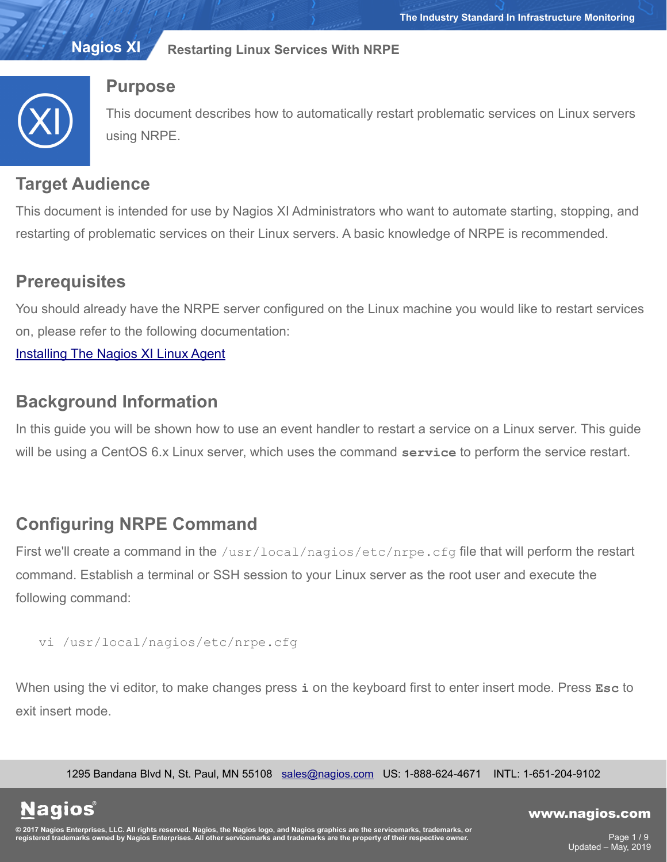

## **Purpose**

This document describes how to automatically restart problematic services on Linux servers using NRPE.

# **Target Audience**

This document is intended for use by Nagios XI Administrators who want to automate starting, stopping, and restarting of problematic services on their Linux servers. A basic knowledge of NRPE is recommended.

# **Prerequisites**

You should already have the NRPE server configured on the Linux machine you would like to restart services on, please refer to the following documentation:

[Installing The Nagios XI Linux Agent](https://assets.nagios.com/downloads/nagiosxi/docs/Installing_The_XI_Linux_Agent.pdf)

# **Background Information**

In this guide you will be shown how to use an event handler to restart a service on a Linux server. This guide will be using a CentOS 6.x Linux server, which uses the command **service** to perform the service restart.

# **Configuring NRPE Command**

First we'll create a command in the /usr/local/nagios/etc/nrpe.cfg file that will perform the restart command. Establish a terminal or SSH session to your Linux server as the root user and execute the following command:

```
vi /usr/local/nagios/etc/nrpe.cfg
```
When using the vi editor, to make changes press **i** on the keyboard first to enter insert mode. Press **Esc** to exit insert mode.

1295 Bandana Blvd N, St. Paul, MN 55108 [sales@nagios.com](mailto:sales@nagios.com) US: 1-888-624-4671 INTL: 1-651-204-9102

**Nagios**®

#### [www.nagios.com](https://www.nagios.com/)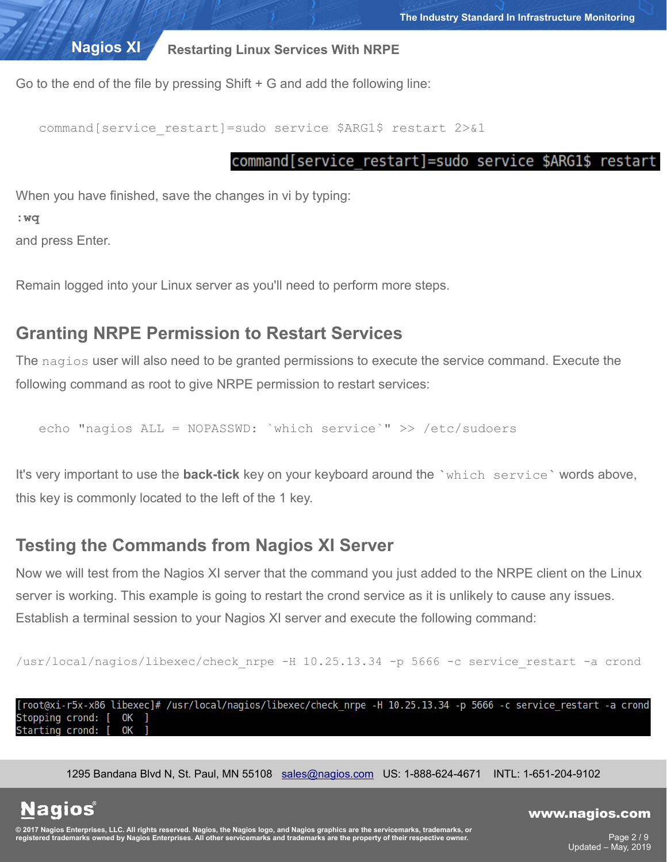Go to the end of the file by pressing Shift + G and add the following line:

command[service\_restart]=sudo service \$ARG1\$ restart 2>&1

### command[service restart]=sudo service \$ARG1\$ restar

When you have finished, save the changes in vi by typing:

**:wq** 

and press Enter.

Remain logged into your Linux server as you'll need to perform more steps.

## **Granting NRPE Permission to Restart Services**

The nagios user will also need to be granted permissions to execute the service command. Execute the following command as root to give NRPE permission to restart services:

echo "nagios ALL = NOPASSWD: `which service`" >> /etc/sudoers

It's very important to use the **back-tick** key on your keyboard around the **`**which service**`** words above, this key is commonly located to the left of the 1 key.

## **Testing the Commands from Nagios XI Server**

Now we will test from the Nagios XI server that the command you just added to the NRPE client on the Linux server is working. This example is going to restart the crond service as it is unlikely to cause any issues. Establish a terminal session to your Nagios XI server and execute the following command:

/usr/local/nagios/libexec/check nrpe -H 10.25.13.34 -p 5666 -c service restart -a crond

root@xi-r5x-x86 libexec]# /usr/local/nagios/libexec/check nrpe -H 10.25.13.34 -p 5666 -c service restart -a crond Stopping crond: [ OK Starting crond: 0K

1295 Bandana Blvd N, St. Paul, MN 55108 [sales@nagios.com](mailto:sales@nagios.com) US: 1-888-624-4671 INTL: 1-651-204-9102

**Nagios®** 

#### [www.nagios.com](https://www.nagios.com/)

© 2017 Nagios Enterprises, LLC. All rights reserved. Nagios, the Nagios logo, and Nagios graphics are the servicemarks, trademarks, or<br>registered trademarks owned by Nagios Enterprises. All other servicemarks and trademark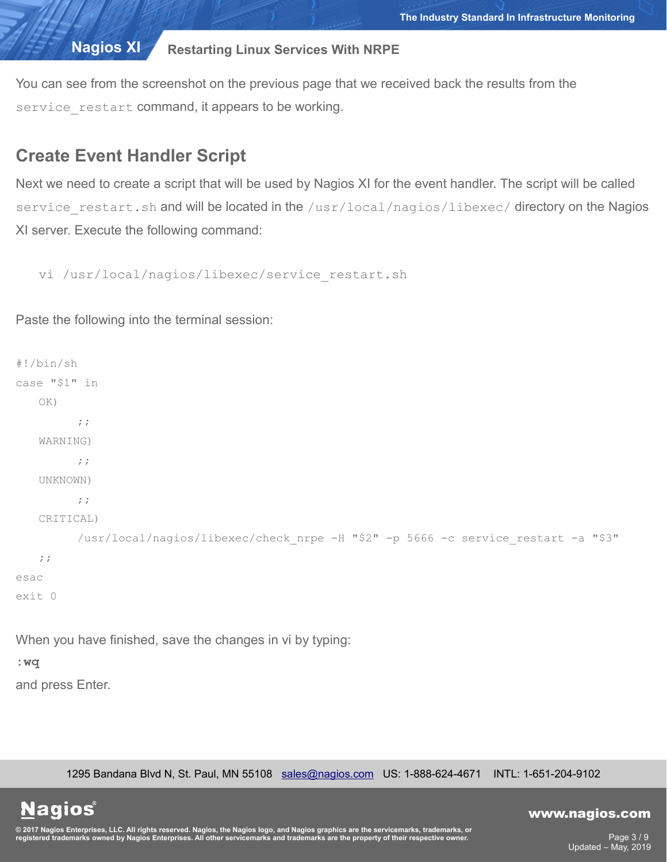You can see from the screenshot on the previous page that we received back the results from the service restart command, it appears to be working.

## **Create Event Handler Script**

Next we need to create a script that will be used by Nagios XI for the event handler. The script will be called service restart.sh and will be located in the /usr/local/nagios/libexec/ directory on the Nagios XI server. Execute the following command:

```
vi /usr/local/nagios/libexec/service_restart.sh
```
Paste the following into the terminal session:

```
#!/bin/sh
case "$1" in
   OK)
         ;;
   WARNING)
         ;;
   UNKNOWN)
         ;;
   CRITICAL)
         /usr/local/nagios/libexec/check_nrpe -H "$2" -p 5666 -c service_restart -a "$3"
   ;;
esac
exit 0
```
When you have finished, save the changes in vi by typing:

**:wq** 

and press Enter.

1295 Bandana Blvd N, St. Paul, MN 55108 [sales@nagios.com](mailto:sales@nagios.com) US: 1-888-624-4671 INTL: 1-651-204-9102

**Nagios®** 

#### [www.nagios.com](https://www.nagios.com/)

© 2017 Nagios Enterprises, LLC. All rights reserved. Nagios, the Nagios logo, and Nagios graphics are the servicemarks, trademarks, or<br>registered trademarks owned by Nagios Enterprises. All other servicemarks and trademark

Page 3 / 9 Updated – May, 2019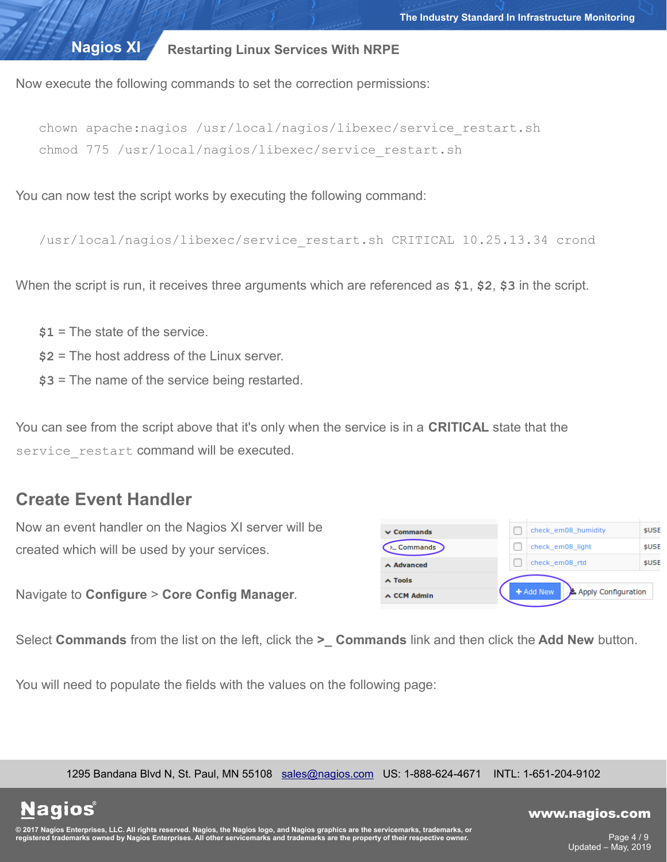Now execute the following commands to set the correction permissions:

```
chown apache:nagios /usr/local/nagios/libexec/service_restart.sh
chmod 775 /usr/local/nagios/libexec/service_restart.sh
```
You can now test the script works by executing the following command:

/usr/local/nagios/libexec/service\_restart.sh CRITICAL 10.25.13.34 crond

When the script is run, it receives three arguments which are referenced as **\$1**, **\$2**, **\$3** in the script.

- **\$1** = The state of the service.
- **\$2** = The host address of the Linux server.
- **\$3** = The name of the service being restarted.

You can see from the script above that it's only when the service is in a **CRITICAL** state that the service restart command will be executed.

## **Create Event Handler**

**Nagios**®

| Now an event handler on the Nagios XI server will be | $\vee$ Commands |                                                           | check_em08_humidity | \$USI |
|------------------------------------------------------|-----------------|-----------------------------------------------------------|---------------------|-------|
| created which will be used by your services.         | $\sum$ Commands |                                                           | check em08 light    | \$USI |
|                                                      | A Advanced      |                                                           | check_em08_rtd      | \$USI |
|                                                      | $\land$ Tools   |                                                           |                     |       |
| Navigate to Configure > Core Config Manager.         | ∧ CCM Admin     | $\left( \begin{array}{ccc} \end{array} \right)$ + Add New | Apply Configuration |       |

Select **Commands** from the list on the left, click the **>\_ Commands** link and then click the **Add New** button.

You will need to populate the fields with the values on the following page:

1295 Bandana Blvd N, St. Paul, MN 55108 [sales@nagios.com](mailto:sales@nagios.com) US: 1-888-624-4671 INTL: 1-651-204-9102

© 2017 Nagios Enterprises, LLC. All rights reserved. Nagios, the Nagios logo, and Nagios graphics are the servicemarks, trademarks, or<br>registered trademarks owned by Nagios Enterprises. All other servicemarks and trademark

#### [www.nagios.com](https://www.nagios.com/)

Page 4 / 9 Updated – May, 2019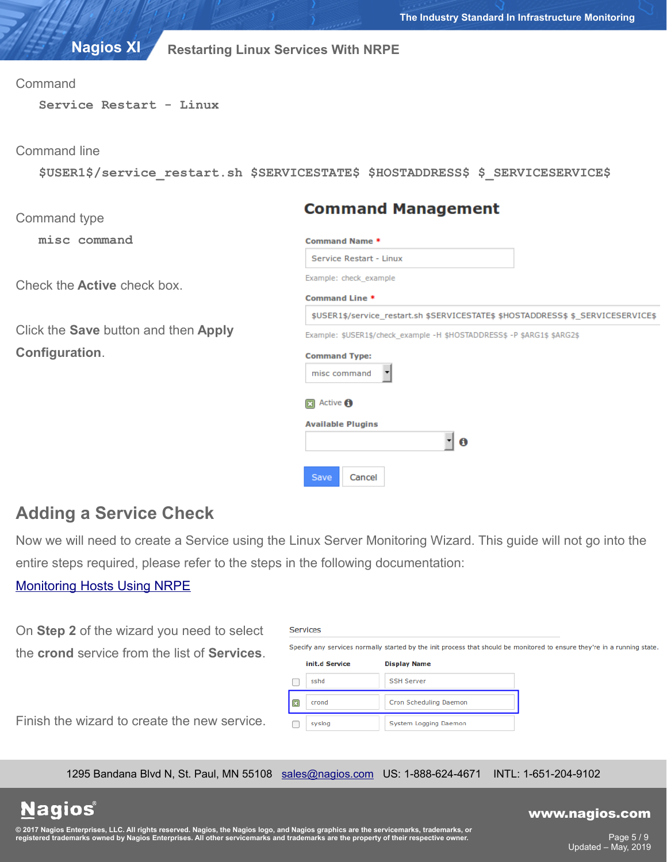| <b>Restarting Linux Services With NRPE</b> | <b>Nagios XI</b> |  |  |  |  |  |
|--------------------------------------------|------------------|--|--|--|--|--|
|--------------------------------------------|------------------|--|--|--|--|--|

#### **Command**

**Service Restart - Linux**

Command line

**\$USER1\$/service\_restart.sh \$SERVICESTATE\$ \$HOSTADDRESS\$ \$\_SERVICESERVICE\$**

 $-$ 

| Command type                         | <b>Command Management</b>                                                         |
|--------------------------------------|-----------------------------------------------------------------------------------|
| misc command                         | <b>Command Name *</b>                                                             |
|                                      | Service Restart - Linux                                                           |
| Check the <b>Active</b> check box.   | Example: check_example                                                            |
|                                      | <b>Command Line *</b>                                                             |
|                                      | \$USER1\$/service_restart.sh \$SERVICESTATE\$ \$HOSTADDRESS\$ \$_SERVICESERVICE\$ |
| Click the Save button and then Apply | Example: \$USER1\$/check_example -H \$HOSTADDRESS\$ -P \$ARG1\$ \$ARG2\$          |
| Configuration.                       | <b>Command Type:</b>                                                              |
|                                      | misc command                                                                      |
|                                      | Active <b>O</b><br>囩                                                              |
|                                      | <b>Available Plugins</b>                                                          |
|                                      | 케<br>0                                                                            |
|                                      | Cancel<br>Save                                                                    |

## **Adding a Service Check**

Now we will need to create a Service using the Linux Server Monitoring Wizard. This guide will not go into the entire steps required, please refer to the steps in the following documentation:

### [Monitoring Hosts Using NRPE](https://assets.nagios.com/downloads/nagiosxi/docs/Monitoring_Hosts_Using_NRPE.pdf)

On **Step 2** of the wizard you need to select the **crond** service from the list of **Services**.

|                          | Services       |                                                                                                                        |
|--------------------------|----------------|------------------------------------------------------------------------------------------------------------------------|
|                          |                | Specify any services normally started by the init process that should be monitored to ensure they're in a running stat |
|                          | init.d Service | <b>Display Name</b>                                                                                                    |
|                          | sshd           | <b>SSH Server</b>                                                                                                      |
| $\vert \mathbf{H} \vert$ | crond          | Cron Scheduling Daemon                                                                                                 |
|                          | syslog         | System Logging Daemon                                                                                                  |

Finish the wizard to create the new service.

1295 Bandana Blvd N, St. Paul, MN 55108 [sales@nagios.com](mailto:sales@nagios.com) US: 1-888-624-4671 INTL: 1-651-204-9102

**Nagios®** 

### [www.nagios.com](https://www.nagios.com/)

© 2017 Nagios Enterprises, LLC. All rights reserved. Nagios, the Nagios logo, and Nagios graphics are the servicemarks, trademarks, or<br>registered trademarks owned by Nagios Enterprises. All other servicemarks and trademark

Page 5 / 9 Updated – May, 2019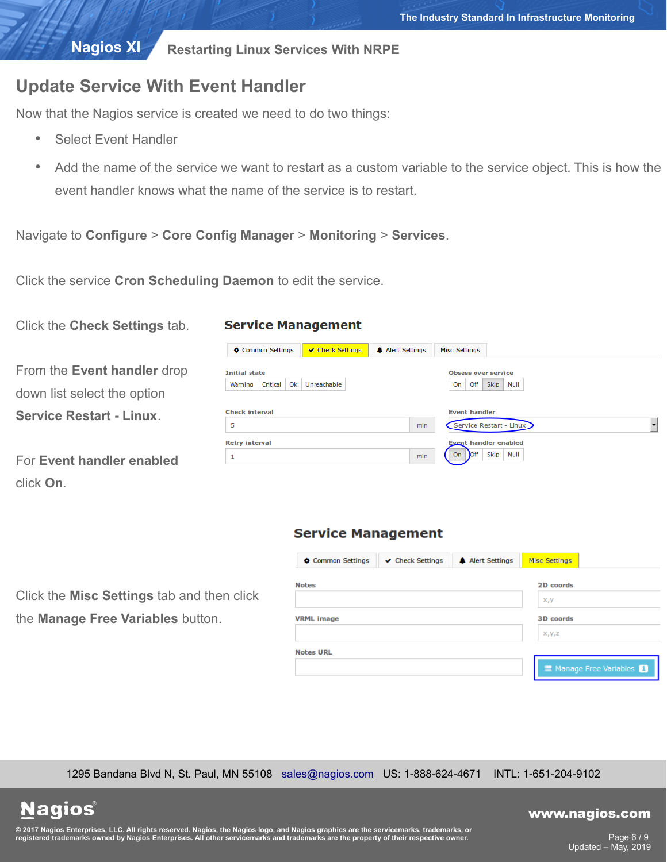## **Update Service With Event Handler**

Now that the Nagios service is created we need to do two things:

- Select Event Handler
- Add the name of the service we want to restart as a custom variable to the service object. This is how the event handler knows what the name of the service is to restart.

Navigate to **Configure** > **Core Config Manager** > **Monitoring** > **Services**.

Click the service **Cron Scheduling Daemon** to edit the service.

Click the **Check Settings** tab.

From the **Event handler** drop

down list select the option **Service Restart - Linux**.

For **Event handler enabled**

click **On**.

#### **Service Management**

|                                 | Common Settings |    | Check Settings | A Alert Settings | <b>Misc Settings</b>                    |                              |   |
|---------------------------------|-----------------|----|----------------|------------------|-----------------------------------------|------------------------------|---|
| <b>Initial state</b><br>Warning | Critical        | Ok | Unreachable    |                  | <b>Obsess over service</b><br>Off<br>On | <b>Skip</b><br>Null          |   |
| <b>Check interval</b><br>5      |                 |    |                | min              | <b>Event handler</b>                    | Service Restart - Linux      | ٠ |
| <b>Retry interval</b>           |                 |    |                |                  |                                         | <b>Event handler enabled</b> |   |
| ٠                               |                 |    |                | min              | On<br>Off                               | Null<br>Skip                 |   |

### **Service Management**

Click the **Misc Settings** tab and then click the **Manage Free Variables** button.

| Common Settings   | $\vee$ Check Settings | A Alert Settings | <b>Misc Settings</b> |                                  |
|-------------------|-----------------------|------------------|----------------------|----------------------------------|
| <b>Notes</b>      |                       |                  | 2D coords<br>x, y    |                                  |
| <b>VRML</b> image |                       |                  | <b>3D</b> coords     |                                  |
| <b>Notes URL</b>  |                       |                  | X, Y, Z              |                                  |
|                   |                       |                  |                      | i Manage Free Variables <b>1</b> |

1295 Bandana Blvd N, St. Paul, MN 55108 [sales@nagios.com](mailto:sales@nagios.com) US: 1-888-624-4671 INTL: 1-651-204-9102

**Nagios®** 

#### [www.nagios.com](https://www.nagios.com/)

© 2017 Nagios Enterprises, LLC. All rights reserved. Nagios, the Nagios logo, and Nagios graphics are the servicemarks, trademarks, or<br>registered trademarks owned by Nagios Enterprises. All other servicemarks and trademark

Page 6 / 9 Updated – May, 2019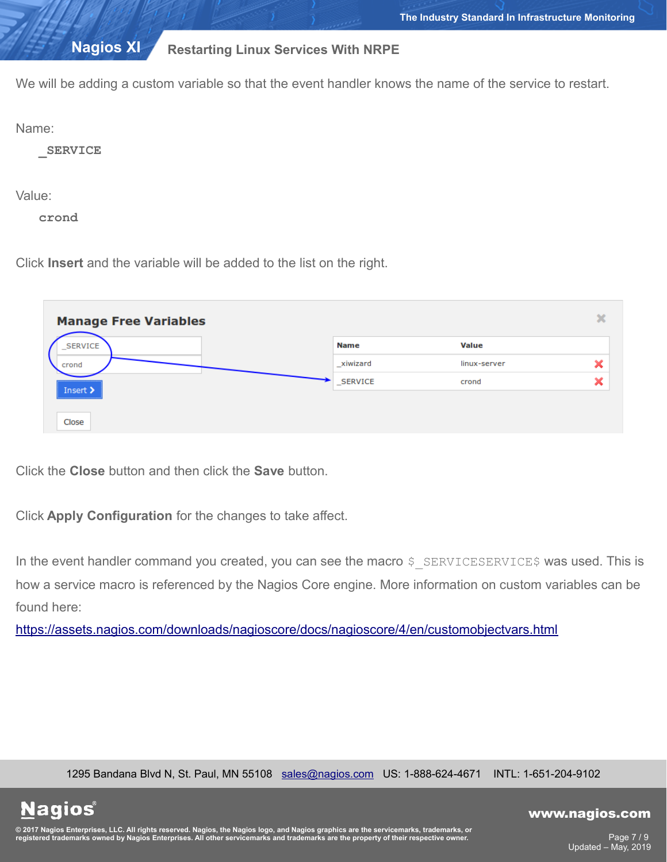**Nagios XI**

**Restarting Linux Services With NRPE**

We will be adding a custom variable so that the event handler knows the name of the service to restart.

Name:

**\_SERVICE**

Value:

**crond**

Click **Insert** and the variable will be added to the list on the right.

| <b>Manage Free Variables</b>     |          |              | × |
|----------------------------------|----------|--------------|---|
| _SERVICE                         | Name     | <b>Value</b> |   |
| crond                            | xiwizard | linux-server | × |
| <br>Insert $\blacktriangleright$ | _SERVICE | crond        | 灬 |
|                                  |          |              |   |
| Close                            |          |              |   |

Click the **Close** button and then click the **Save** button.

Click **Apply Configuration** for the changes to take affect.

In the event handler command you created, you can see the macro  $$$  SERVICESERVICE\$ was used. This is how a service macro is referenced by the Nagios Core engine. More information on custom variables can be found here:

<https://assets.nagios.com/downloads/nagioscore/docs/nagioscore/4/en/customobjectvars.html>

1295 Bandana Blvd N, St. Paul, MN 55108 [sales@nagios.com](mailto:sales@nagios.com) US: 1-888-624-4671 INTL: 1-651-204-9102

**Nagios®** 

### [www.nagios.com](https://www.nagios.com/)

© 2017 Nagios Enterprises, LLC. All rights reserved. Nagios, the Nagios logo, and Nagios graphics are the servicemarks, trademarks, or<br>registered trademarks owned by Nagios Enterprises. All other servicemarks and trademark

Page 7 / 9 Updated – May, 2019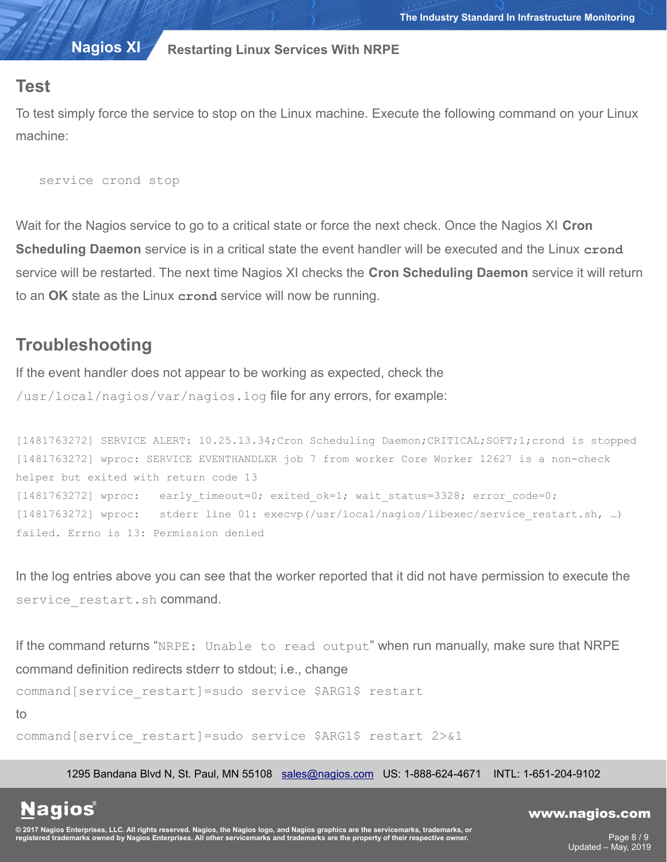**Nagios XI**

**Restarting Linux Services With NRPE**

### **Test**

To test simply force the service to stop on the Linux machine. Execute the following command on your Linux machine:

service crond stop

Wait for the Nagios service to go to a critical state or force the next check. Once the Nagios XI **Cron Scheduling Daemon** service is in a critical state the event handler will be executed and the Linux **crond** service will be restarted. The next time Nagios XI checks the **Cron Scheduling Daemon** service it will return to an **OK** state as the Linux **crond** service will now be running.

## **Troubleshooting**

If the event handler does not appear to be working as expected, check the /usr/local/nagios/var/nagios.log file for any errors, for example:

[1481763272] SERVICE ALERT: 10.25.13.34;Cron Scheduling Daemon;CRITICAL;SOFT;1;crond is stopped [1481763272] wproc: SERVICE EVENTHANDLER job 7 from worker Core Worker 12627 is a non-check helper but exited with return code 13 [1481763272] wproc: early timeout=0; exited ok=1; wait status=3328; error code=0; [1481763272] wproc: stderr line 01: execvp(/usr/local/nagios/libexec/service\_restart.sh, …) failed. Errno is 13: Permission denied

In the log entries above you can see that the worker reported that it did not have permission to execute the service restart.sh command.

If the command returns "NRPE: Unable to read output" when run manually, make sure that NRPE command definition redirects stderr to stdout; i.e., change command[service\_restart]=sudo service \$ARG1\$ restart

to

command[service\_restart]=sudo service \$ARG1\$ restart 2>&1

1295 Bandana Blvd N, St. Paul, MN 55108 [sales@nagios.com](mailto:sales@nagios.com) US: 1-888-624-4671 INTL: 1-651-204-9102

**Nagios®** 

#### [www.nagios.com](https://www.nagios.com/)

© 2017 Nagios Enterprises, LLC. All rights reserved. Nagios, the Nagios logo, and Nagios graphics are the servicemarks, trademarks, or<br>registered trademarks owned by Nagios Enterprises. All other servicemarks and trademark